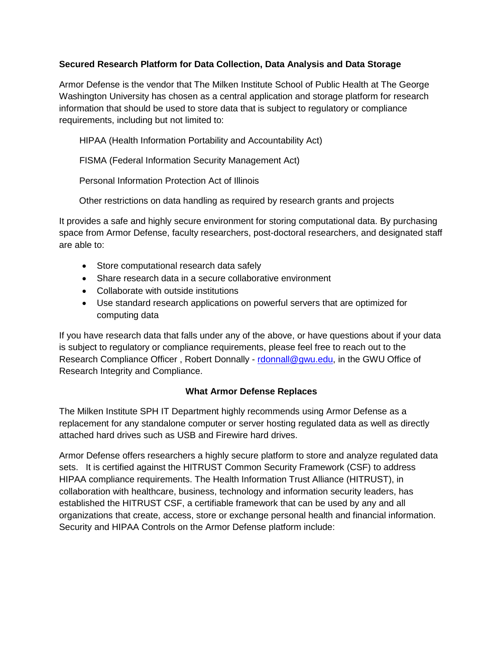## **Secured Research Platform for Data Collection, Data Analysis and Data Storage**

Armor Defense is the vendor that The Milken Institute School of Public Health at The George Washington University has chosen as a central application and storage platform for research information that should be used to store data that is subject to regulatory or compliance requirements, including but not limited to:

HIPAA (Health Information Portability and Accountability Act)

FISMA (Federal Information Security Management Act)

Personal Information Protection Act of Illinois

Other restrictions on data handling as required by research grants and projects

It provides a safe and highly secure environment for storing computational data. By purchasing space from Armor Defense, faculty researchers, post-doctoral researchers, and designated staff are able to:

- Store computational research data safely
- Share research data in a secure collaborative environment
- Collaborate with outside institutions
- Use standard research applications on powerful servers that are optimized for computing data

If you have research data that falls under any of the above, or have questions about if your data is subject to regulatory or compliance requirements, please feel free to reach out to the Research Compliance Officer, Robert Donnally - [rdonnall@gwu.edu,](mailto:rdonnall@gwu.edu) in the GWU Office of Research Integrity and Compliance.

# **What Armor Defense Replaces**

The Milken Institute SPH IT Department highly recommends using Armor Defense as a replacement for any standalone computer or server hosting regulated data as well as directly attached hard drives such as USB and Firewire hard drives.

Armor Defense offers researchers a highly secure platform to store and analyze regulated data sets. It is certified against the HITRUST Common Security Framework (CSF) to address HIPAA compliance requirements. The Health Information Trust Alliance (HITRUST), in collaboration with healthcare, business, technology and information security leaders, has established the HITRUST CSF, a certifiable framework that can be used by any and all organizations that create, access, store or exchange personal health and financial information. Security and HIPAA Controls on the Armor Defense platform include: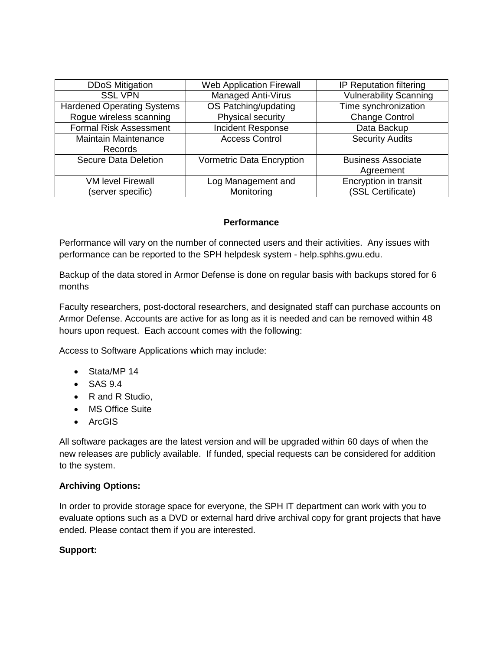| <b>DDoS Mitigation</b>            | <b>Web Application Firewall</b> | <b>IP Reputation filtering</b> |
|-----------------------------------|---------------------------------|--------------------------------|
| <b>SSL VPN</b>                    | <b>Managed Anti-Virus</b>       | <b>Vulnerability Scanning</b>  |
| <b>Hardened Operating Systems</b> | OS Patching/updating            | Time synchronization           |
| Rogue wireless scanning           | Physical security               | <b>Change Control</b>          |
| <b>Formal Risk Assessment</b>     | Incident Response               | Data Backup                    |
| <b>Maintain Maintenance</b>       | <b>Access Control</b>           | <b>Security Audits</b>         |
| Records                           |                                 |                                |
| <b>Secure Data Deletion</b>       | Vormetric Data Encryption       | <b>Business Associate</b>      |
|                                   |                                 | Agreement                      |
| <b>VM level Firewall</b>          | Log Management and              | Encryption in transit          |
| (server specific)                 | Monitoring                      | (SSL Certificate)              |

### **Performance**

Performance will vary on the number of connected users and their activities. Any issues with performance can be reported to the SPH helpdesk system - help.sphhs.gwu.edu.

Backup of the data stored in Armor Defense is done on regular basis with backups stored for 6 months

Faculty researchers, post-doctoral researchers, and designated staff can purchase accounts on Armor Defense. Accounts are active for as long as it is needed and can be removed within 48 hours upon request. Each account comes with the following:

Access to Software Applications which may include:

- Stata/MP 14
- SAS 9.4
- R and R Studio,
- MS Office Suite
- ArcGIS

All software packages are the latest version and will be upgraded within 60 days of when the new releases are publicly available. If funded, special requests can be considered for addition to the system.

### **Archiving Options:**

In order to provide storage space for everyone, the SPH IT department can work with you to evaluate options such as a DVD or external hard drive archival copy for grant projects that have ended. Please contact them if you are interested.

### **Support:**